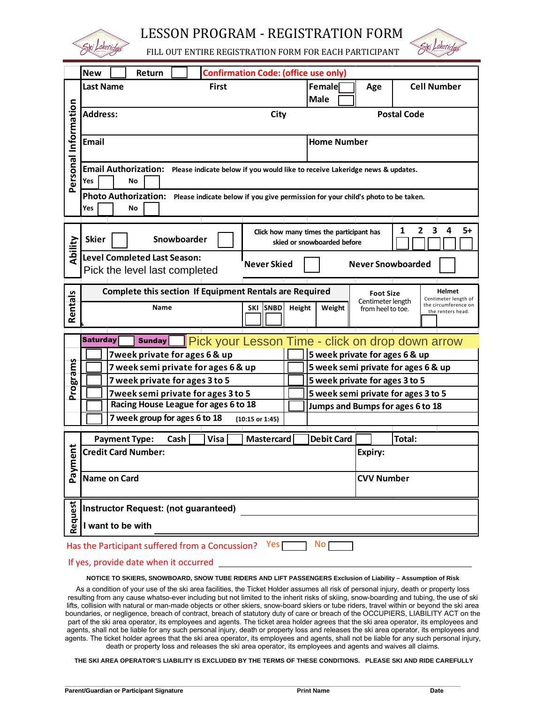

LESSON PROGRAM - REGISTRATION FORM



FILL OUT ENTIRE REGISTRATION FORM FOR EACH PARTICIPANT

|                                                                  | <b>New</b><br><b>Confirmation Code: (office use only)</b><br>Return                                                |                                                                                                                                 |  |  |  |  |  |
|------------------------------------------------------------------|--------------------------------------------------------------------------------------------------------------------|---------------------------------------------------------------------------------------------------------------------------------|--|--|--|--|--|
|                                                                  | <b>Last Name</b><br><b>First</b>                                                                                   | Female<br><b>Cell Number</b><br>Age                                                                                             |  |  |  |  |  |
| Personal Information                                             |                                                                                                                    | <b>Male</b>                                                                                                                     |  |  |  |  |  |
|                                                                  | <b>Address:</b><br>City                                                                                            | <b>Postal Code</b>                                                                                                              |  |  |  |  |  |
|                                                                  | <b>Email</b>                                                                                                       | <b>Home Number</b>                                                                                                              |  |  |  |  |  |
|                                                                  | Email Authorization: Please indicate below if you would like to receive Lakeridge news & updates.<br>Yes<br>No     |                                                                                                                                 |  |  |  |  |  |
|                                                                  | Photo Authorization: Please indicate below if you give permission for your child's photo to be taken.<br>Yes<br>No |                                                                                                                                 |  |  |  |  |  |
|                                                                  |                                                                                                                    | 2<br>3<br>5+<br>1<br>4                                                                                                          |  |  |  |  |  |
| Ability                                                          | <b>Skier</b><br>Snowboarder                                                                                        | Click how many times the participant has<br>skied or snowboarded before                                                         |  |  |  |  |  |
|                                                                  | <b>Level Completed Last Season:</b><br><b>Never Skied</b><br>Pick the level last completed                         | <b>Never Snowboarded</b>                                                                                                        |  |  |  |  |  |
|                                                                  | Complete this section If Equipment Rentals are Required                                                            | <b>Helmet</b><br><b>Foot Size</b>                                                                                               |  |  |  |  |  |
| Rentals                                                          | <b>Name</b><br><b>SNBD</b><br>SKI                                                                                  | Centimeter length of<br>Centimeter length<br>the circumference on<br>Height<br>Weight<br>from heel to toe.<br>the renters head. |  |  |  |  |  |
|                                                                  |                                                                                                                    |                                                                                                                                 |  |  |  |  |  |
|                                                                  | <b>Saturday</b><br><b>Sunday</b><br>7week private for ages 6 & up                                                  | Pick your Lesson Time - click on drop down arrow<br>5 week private for ages 6 & up                                              |  |  |  |  |  |
|                                                                  | 7 week semi private for ages 6 & up                                                                                | 5 week semi private for ages 6 & up                                                                                             |  |  |  |  |  |
|                                                                  | 7 week private for ages 3 to 5                                                                                     | 5 week private for ages 3 to 5                                                                                                  |  |  |  |  |  |
| Programs                                                         | 7week semi private for ages 3 to 5                                                                                 | 5 week semi private for ages 3 to 5                                                                                             |  |  |  |  |  |
|                                                                  | Racing House League for ages 6 to 18                                                                               | Jumps and Bumps for ages 6 to 18                                                                                                |  |  |  |  |  |
|                                                                  | 7 week group for ages 6 to 18<br>$(10:15$ or 1:45)                                                                 |                                                                                                                                 |  |  |  |  |  |
|                                                                  | <b>Mastercard</b><br><b>Payment Type:</b><br>Cash<br><b>Visa</b>                                                   | <b>Total:</b><br><b>Debit Card</b>                                                                                              |  |  |  |  |  |
| tig                                                              | <b>Credit Card Number:</b>                                                                                         | Expiry:                                                                                                                         |  |  |  |  |  |
| Paym                                                             | Name on Card                                                                                                       | <b>CVV Number</b>                                                                                                               |  |  |  |  |  |
|                                                                  | Request<br>Instructor Request: (not guaranteed)<br>I want to be with                                               |                                                                                                                                 |  |  |  |  |  |
|                                                                  |                                                                                                                    |                                                                                                                                 |  |  |  |  |  |
| No p<br>Has the Participant suffered from a Concussion?<br>Yes [ |                                                                                                                    |                                                                                                                                 |  |  |  |  |  |
|                                                                  | If yes, provide date when it occurred                                                                              |                                                                                                                                 |  |  |  |  |  |

**NOTICE TO SKIERS, SNOWBOARD, SNOW TUBE RIDERS AND LIFT PASSENGERS Exclusion of Liability – Assumption of Risk**

As a condition of your use of the ski area facilities, the Ticket Holder assumes all risk of personal injury, death or property loss resulting from any cause whatso-ever including but not limited to the inherit risks of skiing, snow-boarding and tubing, the use of ski lifts, collision with natural or man-made objects or other skiers, snow-board skiers or tube riders, travel within or beyond the ski area boundaries, or negligence, breach of contract, breach of statutory duty of care or breach of the OCCUPIERS, LIABILITY ACT on the part of the ski area operator, its employees and agents. The ticket area holder agrees that the ski area operator, its employees and agents, shall not be liable for any such personal injury, death or property loss and releases the ski area operator, its employees and agents. The ticket holder agrees that the ski area operator, its employees and agents, shall not be liable for any such personal injury, death or property loss and releases the ski area operator, its employees and agents and waives all claims.

**THE SKI AREA OPERATOR'S LIABILITY IS EXCLUDED BY THE TERMS OF THESE CONDITIONS. PLEASE SKI AND RIDE CAREFULLY**